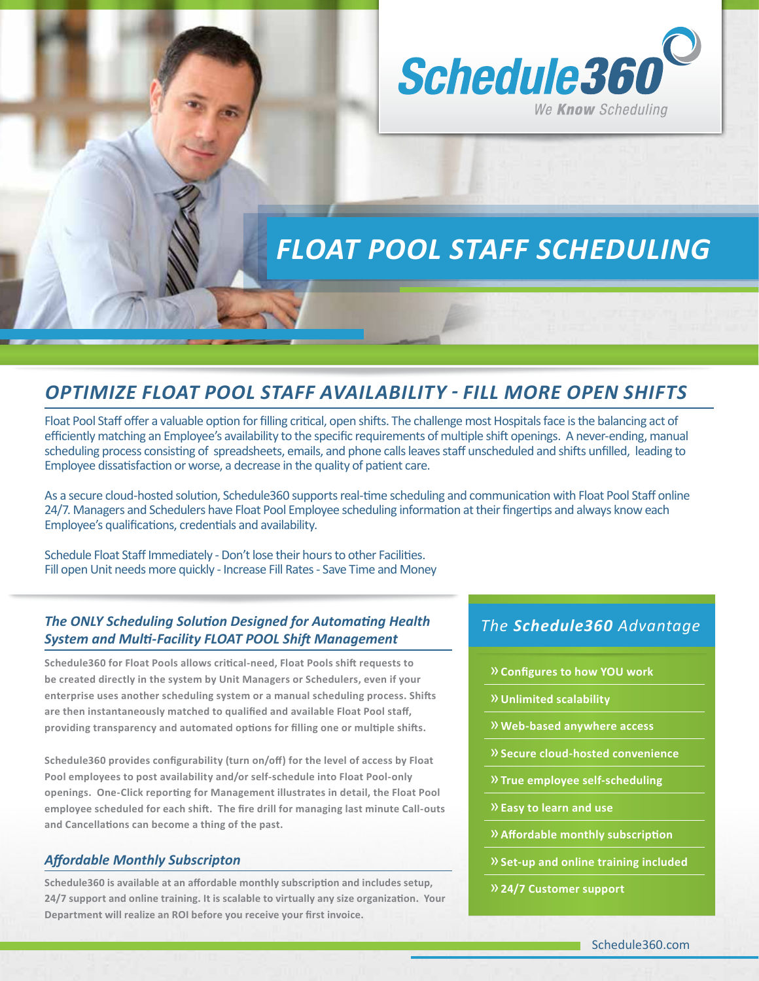

# *FLOAT POOL STAFF SCHEDULING*

# *OPTIMIZE FLOAT POOL STAFF AVAILABILITY - FILL MORE OPEN SHIFTS*

Float Pool Staff offer a valuable option for filling critical, open shifts. The challenge most Hospitals face is the balancing act of efficiently matching an Employee's availability to the specific requirements of multiple shift openings. A never-ending, manual scheduling process consisting of spreadsheets, emails, and phone calls leaves staff unscheduled and shifts unfilled, leading to Employee dissatisfaction or worse, a decrease in the quality of patient care.

As a secure cloud-hosted solution, Schedule360 supports real-time scheduling and communication with Float Pool Staff online 24/7. Managers and Schedulers have Float Pool Employee scheduling information at their fingertips and always know each Employee's qualifications, credentials and availability.

Schedule Float Staff Immediately - Don't lose their hours to other Facilities. Fill open Unit needs more quickly - Increase Fill Rates - Save Time and Money

### *The ONLY Scheduling Solution Designed for Automating Health System and Multi-Facility FLOAT POOL Shift Management*

**Schedule360 for Float Pools allows critical-need, Float Pools shift requests to be created directly in the system by Unit Managers or Schedulers, even if your enterprise uses another scheduling system or a manual scheduling process. Shifts are then instantaneously matched to qualified and available Float Pool staff, providing transparency and automated options for filling one or multiple shifts.** 

**Schedule360 provides configurability (turn on/off) for the level of access by Float Pool employees to post availability and/or self-schedule into Float Pool-only openings. One-Click reporting for Management illustrates in detail, the Float Pool employee scheduled for each shift. The fire drill for managing last minute Call-outs and Cancellations can become a thing of the past.**

#### *Affordable Monthly Subscripton*

**Schedule360 is available at an affordable monthly subscription and includes setup, 24/7 support and online training. It is scalable to virtually any size organization. Your Department will realize an ROI before you receive your first invoice.**

## *The Schedule360 Advantage*

- »**Configures to how YOU work**
- »**Unlimited scalability**
- »**Web-based anywhere access**
- »**Secure cloud-hosted convenience**
- »**True employee self-scheduling**
- »**Easy to learn and use**
- »**Affordable monthly subscription**
- »**Set-up and online training included**
- »**24/7 Customer support**